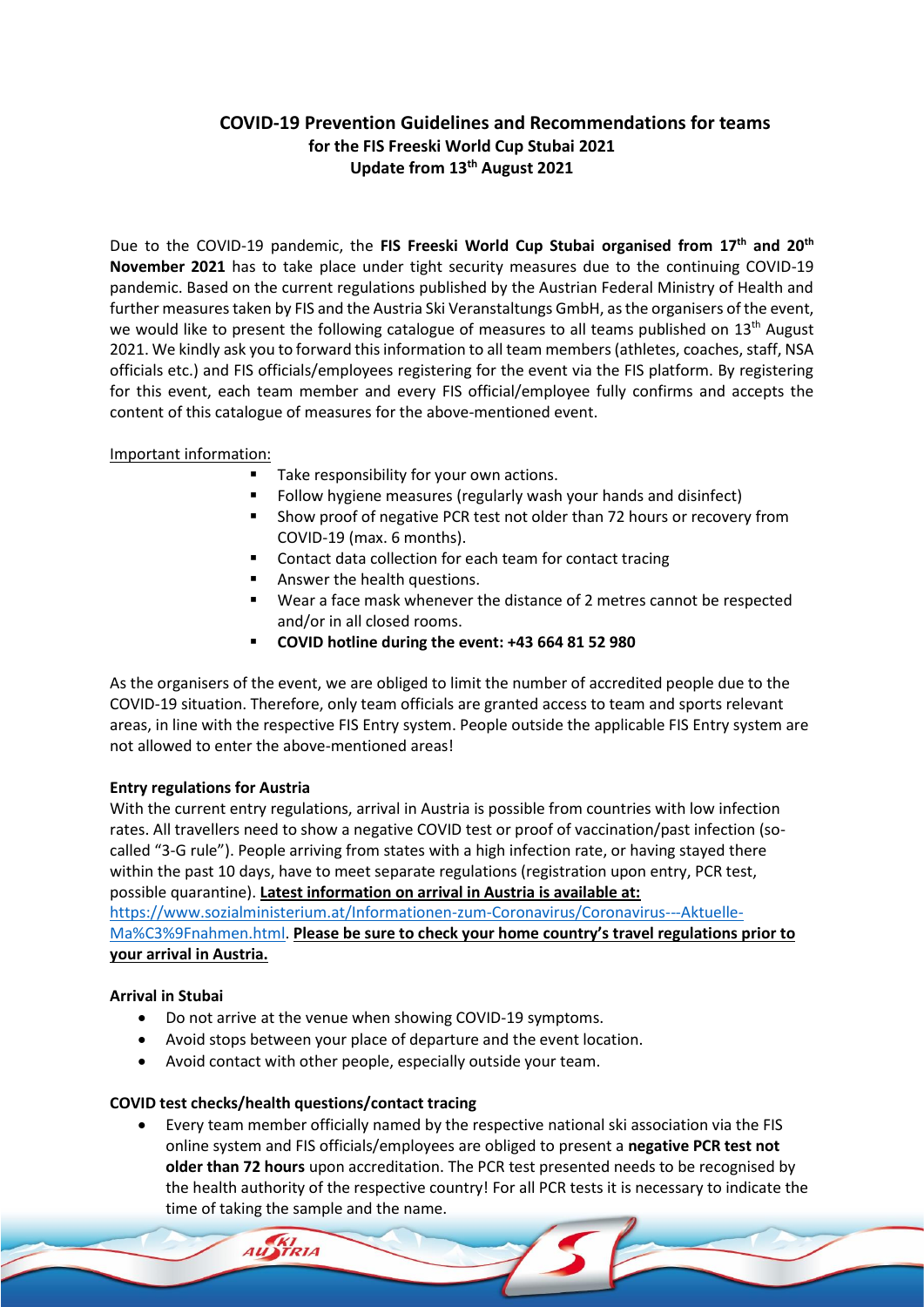## **COVID-19 Prevention Guidelines and Recommendations for teams for the FIS Freeski World Cup Stubai 2021 Update from 13th August 2021**

Due to the COVID-19 pandemic, the **FIS Freeski World Cup Stubai organised from 17th and 20th November 2021** has to take place under tight security measures due to the continuing COVID-19 pandemic. Based on the current regulations published by the Austrian Federal Ministry of Health and further measures taken by FIS and the Austria Ski Veranstaltungs GmbH, as the organisers of the event, we would like to present the following catalogue of measures to all teams published on 13<sup>th</sup> August 2021. We kindly ask you to forward this information to all team members (athletes, coaches, staff, NSA officials etc.) and FIS officials/employees registering for the event via the FIS platform. By registering for this event, each team member and every FIS official/employee fully confirms and accepts the content of this catalogue of measures for the above-mentioned event.

## Important information:

- Take responsibility for your own actions.
- Follow hygiene measures (regularly wash your hands and disinfect)
- Show proof of negative PCR test not older than 72 hours or recovery from COVID-19 (max. 6 months).
- Contact data collection for each team for contact tracing
- Answer the health questions.
- Wear a face mask whenever the distance of 2 metres cannot be respected and/or in all closed rooms.
- **COVID hotline during the event: +43 664 81 52 980**

As the organisers of the event, we are obliged to limit the number of accredited people due to the COVID-19 situation. Therefore, only team officials are granted access to team and sports relevant areas, in line with the respective FIS Entry system. People outside the applicable FIS Entry system are not allowed to enter the above-mentioned areas!

## **Entry regulations for Austria**

With the current entry regulations, arrival in Austria is possible from countries with low infection rates. All travellers need to show a negative COVID test or proof of vaccination/past infection (socalled "3-G rule"). People arriving from states with a high infection rate, or having stayed there within the past 10 days, have to meet separate regulations (registration upon entry, PCR test, possible quarantine). **Latest information on arrival in Austria is available at:** 

[https://www.sozialministerium.at/Informationen-zum-Coronavirus/Coronavirus---Aktuelle-](https://www.sozialministerium.at/Informationen-zum-Coronavirus/Coronavirus---Aktuelle-Ma%C3%9Fnahmen.html)[Ma%C3%9Fnahmen.html.](https://www.sozialministerium.at/Informationen-zum-Coronavirus/Coronavirus---Aktuelle-Ma%C3%9Fnahmen.html) **Please be sure to check your home country's travel regulations prior to your arrival in Austria.**

## **Arrival in Stubai**

- Do not arrive at the venue when showing COVID-19 symptoms.
- Avoid stops between your place of departure and the event location.
- Avoid contact with other people, especially outside your team.

## **COVID test checks/health questions/contact tracing**

• Every team member officially named by the respective national ski association via the FIS online system and FIS officials/employees are obliged to present a **negative PCR test not older than 72 hours** upon accreditation. The PCR test presented needs to be recognised by the health authority of the respective country! For all PCR tests it is necessary to indicate the time of taking the sample and the name.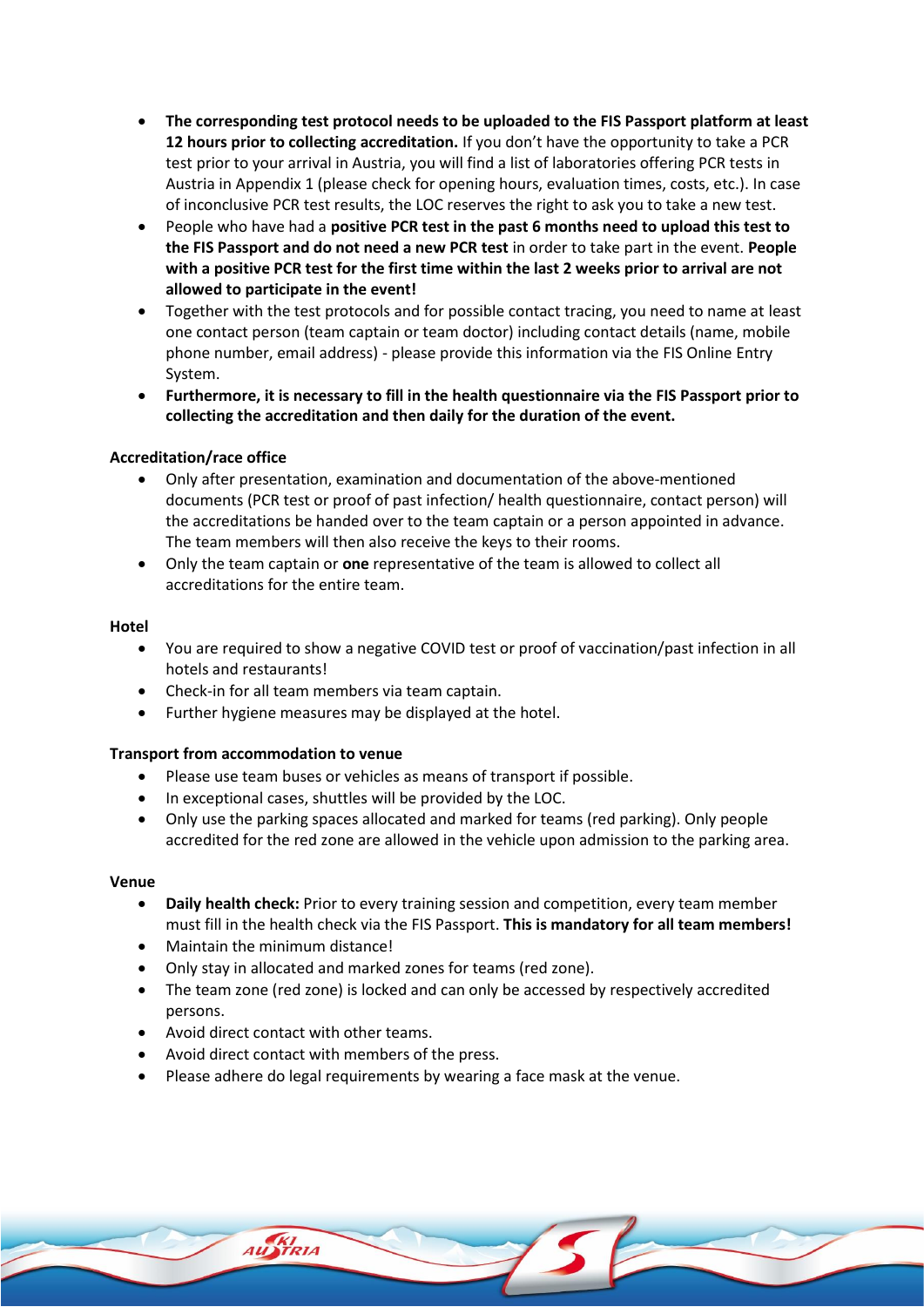- **The corresponding test protocol needs to be uploaded to the FIS Passport platform at least 12 hours prior to collecting accreditation.** If you don't have the opportunity to take a PCR test prior to your arrival in Austria, you will find a list of laboratories offering PCR tests in Austria in Appendix 1 (please check for opening hours, evaluation times, costs, etc.). In case of inconclusive PCR test results, the LOC reserves the right to ask you to take a new test.
- People who have had a **positive PCR test in the past 6 months need to upload this test to the FIS Passport and do not need a new PCR test** in order to take part in the event. **People with a positive PCR test for the first time within the last 2 weeks prior to arrival are not allowed to participate in the event!**
- Together with the test protocols and for possible contact tracing, you need to name at least one contact person (team captain or team doctor) including contact details (name, mobile phone number, email address) - please provide this information via the FIS Online Entry System.
- **Furthermore, it is necessary to fill in the health questionnaire via the FIS Passport prior to collecting the accreditation and then daily for the duration of the event.**

## **Accreditation/race office**

- Only after presentation, examination and documentation of the above-mentioned documents (PCR test or proof of past infection/ health questionnaire, contact person) will the accreditations be handed over to the team captain or a person appointed in advance. The team members will then also receive the keys to their rooms.
- Only the team captain or **one** representative of the team is allowed to collect all accreditations for the entire team.

#### **Hotel**

- You are required to show a negative COVID test or proof of vaccination/past infection in all hotels and restaurants!
- Check-in for all team members via team captain.
- Further hygiene measures may be displayed at the hotel.

#### **Transport from accommodation to venue**

- Please use team buses or vehicles as means of transport if possible.
- In exceptional cases, shuttles will be provided by the LOC.
- Only use the parking spaces allocated and marked for teams (red parking). Only people accredited for the red zone are allowed in the vehicle upon admission to the parking area.

#### **Venue**

- **Daily health check:** Prior to every training session and competition, every team member must fill in the health check via the FIS Passport. **This is mandatory for all team members!**
- Maintain the minimum distance!
- Only stay in allocated and marked zones for teams (red zone).
- The team zone (red zone) is locked and can only be accessed by respectively accredited persons.
- Avoid direct contact with other teams.
- Avoid direct contact with members of the press.
- Please adhere do legal requirements by wearing a face mask at the venue.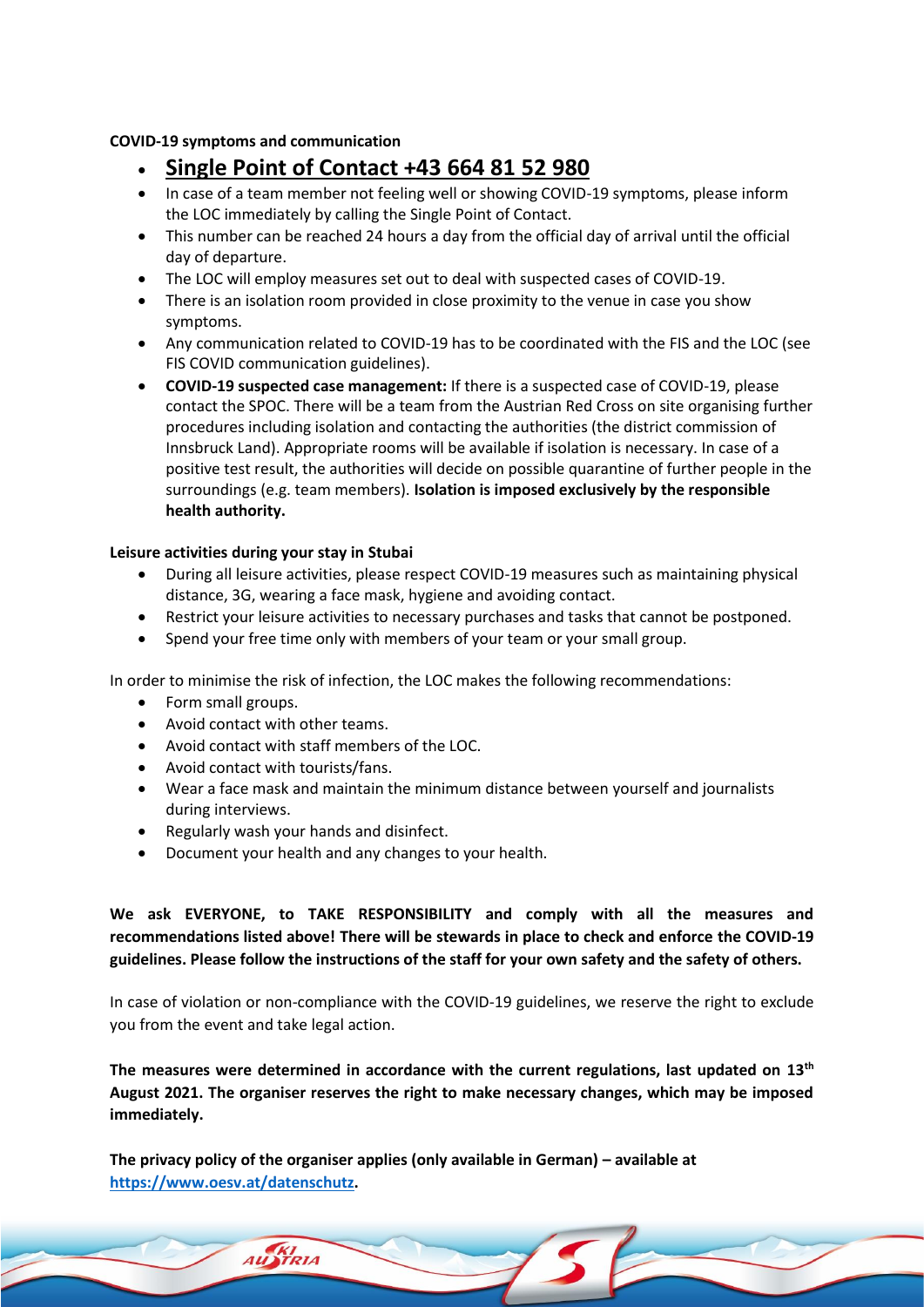### **COVID-19 symptoms and communication**

- **Single Point of Contact +43 664 81 52 980**
- In case of a team member not feeling well or showing COVID-19 symptoms, please inform the LOC immediately by calling the Single Point of Contact.
- This number can be reached 24 hours a day from the official day of arrival until the official day of departure.
- The LOC will employ measures set out to deal with suspected cases of COVID-19.
- There is an isolation room provided in close proximity to the venue in case you show symptoms.
- Any communication related to COVID-19 has to be coordinated with the FIS and the LOC (see FIS COVID communication guidelines).
- **COVID-19 suspected case management:** If there is a suspected case of COVID-19, please contact the SPOC. There will be a team from the Austrian Red Cross on site organising further procedures including isolation and contacting the authorities (the district commission of Innsbruck Land). Appropriate rooms will be available if isolation is necessary. In case of a positive test result, the authorities will decide on possible quarantine of further people in the surroundings (e.g. team members). **Isolation is imposed exclusively by the responsible health authority.**

## **Leisure activities during your stay in Stubai**

- During all leisure activities, please respect COVID-19 measures such as maintaining physical distance, 3G, wearing a face mask, hygiene and avoiding contact.
- Restrict your leisure activities to necessary purchases and tasks that cannot be postponed.
- Spend your free time only with members of your team or your small group.

In order to minimise the risk of infection, the LOC makes the following recommendations:

- Form small groups.
- Avoid contact with other teams.
- Avoid contact with staff members of the LOC.
- Avoid contact with tourists/fans.
- Wear a face mask and maintain the minimum distance between yourself and journalists during interviews.
- Regularly wash your hands and disinfect.

AU STRIA

• Document your health and any changes to your health.

**We ask EVERYONE, to TAKE RESPONSIBILITY and comply with all the measures and recommendations listed above! There will be stewards in place to check and enforce the COVID-19 guidelines. Please follow the instructions of the staff for your own safety and the safety of others.**

In case of violation or non-compliance with the COVID-19 guidelines, we reserve the right to exclude you from the event and take legal action.

**The measures were determined in accordance with the current regulations, last updated on 13th August 2021. The organiser reserves the right to make necessary changes, which may be imposed immediately.** 

**The privacy policy of the organiser applies (only available in German) – available at [https://www.oesv.at/datenschutz.](https://www.oesv.at/datenschutz)**